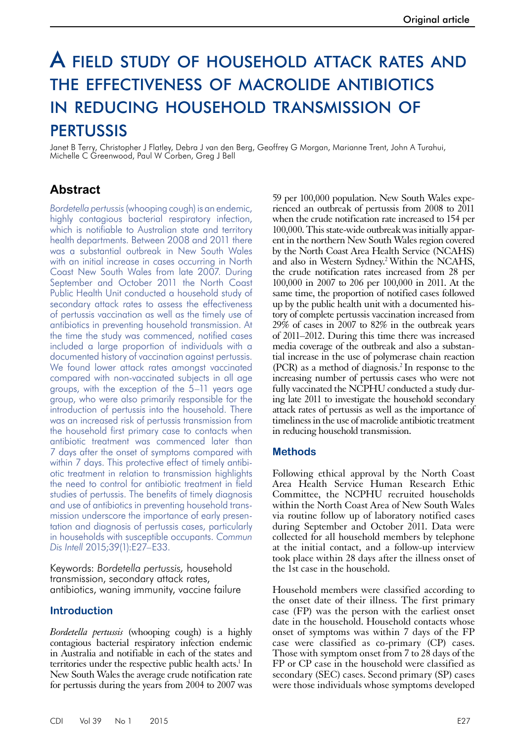# A field study of household attack rates and the effectiveness of macrolide antibiotics in reducing household transmission of **PERTUSSIS**

Janet B Terry, Christopher J Flatley, Debra J van den Berg, Geoffrey G Morgan, Marianne Trent, John A Turahui, Michelle C Greenwood, Paul W Corben, Greg J Bell

# **Abstract**

*Bordetella pertussis* (whooping cough) is an endemic, highly contagious bacterial respiratory infection, which is notifiable to Australian state and territory health departments. Between 2008 and 2011 there was a substantial outbreak in New South Wales with an initial increase in cases occurring in North Coast New South Wales from late 2007. During September and October 2011 the North Coast Public Health Unit conducted a household study of secondary attack rates to assess the effectiveness of pertussis vaccination as well as the timely use of antibiotics in preventing household transmission. At the time the study was commenced, notified cases included a large proportion of individuals with a documented history of vaccination against pertussis. We found lower attack rates amongst vaccinated compared with non-vaccinated subjects in all age groups, with the exception of the 5–11 years age group, who were also primarily responsible for the introduction of pertussis into the household. There was an increased risk of pertussis transmission from the household first primary case to contacts when antibiotic treatment was commenced later than 7 days after the onset of symptoms compared with within 7 days. This protective effect of timely antibiotic treatment in relation to transmission highlights the need to control for antibiotic treatment in field studies of pertussis. The benefits of timely diagnosis and use of antibiotics in preventing household transmission underscore the importance of early presentation and diagnosis of pertussis cases, particularly in households with susceptible occupants. *Commun Dis Intell* 2015;39(1):E27–E33.

Keywords: *Bordetella pertussis,* household transmission, secondary attack rates, antibiotics, waning immunity, vaccine failure

# **Introduction**

*Bordetella pertussis* (whooping cough) is a highly contagious bacterial respiratory infection endemic in Australia and notifiable in each of the states and territories under the respective public health acts.<sup>1</sup> In New South Wales the average crude notification rate for pertussis during the years from 2004 to 2007 was

59 per 100,000 population. New South Wales experienced an outbreak of pertussis from 2008 to 2011 when the crude notification rate increased to 154 per 100,000. This state-wide outbreak was initially apparent in the northern New South Wales region covered by the North Coast Area Health Service (NCAHS) and also in Western Sydney.2 Within the NCAHS, the crude notification rates increased from 28 per 100,000 in 2007 to 206 per 100,000 in 2011. At the same time, the proportion of notified cases followed up by the public health unit with a documented history of complete pertussis vaccination increased from 29% of cases in 2007 to 82% in the outbreak years of 2011–2012. During this time there was increased media coverage of the outbreak and also a substantial increase in the use of polymerase chain reaction (PCR) as a method of diagnosis.2 In response to the increasing number of pertussis cases who were not fully vaccinated the NCPHU conducted a study during late 2011 to investigate the household secondary attack rates of pertussis as well as the importance of timeliness in the use of macrolide antibiotic treatment in reducing household transmission.

# **Methods**

Following ethical approval by the North Coast Area Health Service Human Research Ethic Committee, the NCPHU recruited households within the North Coast Area of New South Wales via routine follow up of laboratory notified cases during September and October 2011. Data were collected for all household members by telephone at the initial contact, and a follow-up interview took place within 28 days after the illness onset of the 1st case in the household.

Household members were classified according to the onset date of their illness. The first primary case (FP) was the person with the earliest onset date in the household. Household contacts whose onset of symptoms was within 7 days of the FP case were classified as co-primary (CP) cases. Those with symptom onset from 7 to 28 days of the FP or CP case in the household were classified as secondary (SEC) cases. Second primary (SP) cases were those individuals whose symptoms developed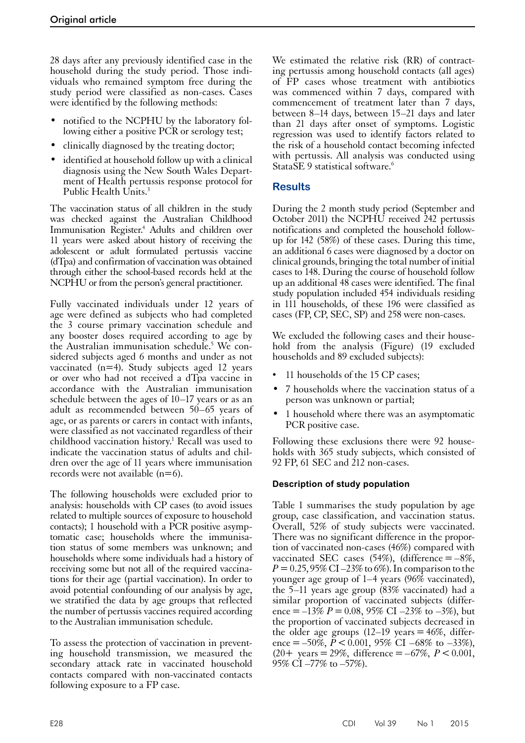28 days after any previously identified case in the household during the study period. Those individuals who remained symptom free during the study period were classified as non-cases. Cases were identified by the following methods:

- notified to the NCPHU by the laboratory fol-<br>lowing either a positive PCR or serology test;
- clinically diagnosed by the treating doctor;
- identified at household follow up with a clinical diagnosis using the New South Wales Depart- ment of Health pertussis response protocol for Public Health Units.<sup>3</sup>

The vaccination status of all children in the study was checked against the Australian Childhood Immunisation Register.<sup>4</sup> Adults and children over 11 years were asked about history of receiving the adolescent or adult formulated pertussis vaccine (dTpa) and confirmation of vaccination was obtained through either the school-based records held at the NCPHU or from the person's general practitioner.

Fully vaccinated individuals under 12 years of age were defined as subjects who had completed the 3 course primary vaccination schedule and any booster doses required according to age by the Australian immunisation schedule.5 We considered subjects aged 6 months and under as not vaccinated (n=4). Study subjects aged 12 years or over who had not received a dTpa vaccine in accordance with the Australian immunisation schedule between the ages of 10–17 years or as an adult as recommended between  $50-65$  years of age, or as parents or carers in contact with infants, were classified as not vaccinated regardless of their childhood vaccination history.<sup>1</sup> Recall was used to indicate the vaccination status of adults and chil- dren over the age of 11 years where immunisation records were not available  $(n=6)$ .

The following households were excluded prior to analysis: households with CP cases (to avoid issues related to multiple sources of exposure to household contacts); 1 household with a PCR positive asymptomatic case; households where the immunisation status of some members was unknown; and households where some individuals had a history of receiving some but not all of the required vaccinations for their age (partial vaccination). In order to avoid potential confounding of our analysis by age, we stratified the data by age groups that reflected the number of pertussis vaccines required according to the Australian immunisation schedule.

To assess the protection of vaccination in preventing household transmission, we measured the secondary attack rate in vaccinated household contacts compared with non-vaccinated contacts following exposure to a FP case.

We estimated the relative risk (RR) of contracting pertussis among household contacts (all ages) of FP cases whose treatment with antibiotics was commenced within 7 days, compared with commencement of treatment later than 7 days, between 8–14 days, between 15–21 days and later than 21 days after onset of symptoms. Logistic regression was used to identify factors related to the risk of a household contact becoming infected with pertussis. All analysis was conducted using StataSE 9 statistical software.<sup>6</sup>

# **Results**

During the 2 month study period (September and October 2011) the NCPHU received 242 pertussis notifications and completed the household followup for 142 (58%) of these cases. During this time, an additional 6 cases were diagnosed by a doctor on clinical grounds, bringing the total number of initial cases to 148. During the course of household follow up an additional 48 cases were identified. The final study population included 454 individuals residing in 111 households, of these 196 were classified as cases (FP, CP, SEC, SP) and 258 were non-cases.

We excluded the following cases and their household from the analysis (Figure) (19 excluded households and 89 excluded subjects):

- 11 households of the 15 CP cases;
- 7 households where the vaccination status of a person was unknown or partial;
- 1 household where there was an asymptomatic PCR positive case.

Following these exclusions there were 92 house-<br>holds with 365 study subjects, which consisted of 92 FP, 61 SEC and 212 non-cases.

# **Description of study population**

Table 1 summarises the study population by age group, case classification, and vaccination status. Overall, 52% of study subjects were vaccinated. There was no significant difference in the proportion of vaccinated non-cases (46%) compared with vaccinated SEC cases  $(54%)$ , (difference = -8%,  $P = 0.25,95\%$  CI –23% to 6%). In comparison to the younger age group of 1–4 years (96% vaccinated), the 5–11 years age group (83% vaccinated) had a similar proportion of vaccinated subjects (difference =  $-13\% P = 0.08$ , 95% CI  $-23\%$  to  $-3\%$ ), but the proportion of vaccinated subjects decreased in the older age groups  $(12-19)$  years = 46%, difference =  $-50\%$ ,  $\tilde{P}$  < 0.001, 95% CI –68% to –33%),  $(20+)$  years = 29%, difference = –67%,  $P < 0.001$ ,  $95\%$  CI  $-77\%$  to  $-57\%$ ).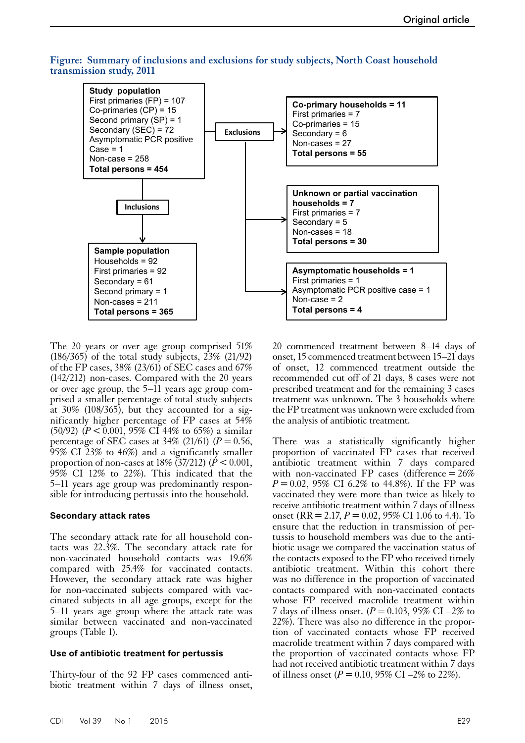#### **Figure: Summary of inclusions and exclusions for study subjects, North Coast household transmission study, 2011**



The 20 years or over age group comprised 51% (186/365) of the total study subjects, 23% (21/92) of the FP cases,  $38\%$  (23/61) of SEC cases and  $67\%$ (142/212) non-cases. Compared with the 20 years or over age group, the 5–11 years age group comprised a smaller percentage of total study subjects at 30% (108/365), but they accounted for a sig- nificantly higher percentage of FP cases at 54% (50/92) ( $P < 0.001$ , 95% CI 44% to 65%) a similar percentage of SEC cases at  $34\%$  (21/61) ( $P = 0.56$ , 95% CI 23% to 46%) and a significantly smaller proportion of non-cases at  $18\%$  (37/212) ( $P < 0.001$ ,  $95\%$  CI 12% to 22%). This indicated that the 5–11 years age group was predominantly respon- sible for introducing pertussis into the household.

#### **Secondary attack rates**

The secondary attack rate for all household contacts was 22.3%. The secondary attack rate for non-vaccinated household contacts was 19.6% compared with 25.4% for vaccinated contacts. However, the secondary attack rate was higher for non-vaccinated subjects compared with vac- cinated subjects in all age groups, except for the 5–11 years age group where the attack rate was similar between vaccinated and non-vaccinated groups (Table 1).

#### **Use of antibiotic treatment for pertussis**

Thirty-four of the 92 FP cases commenced antibiotic treatment within 7 days of illness onset,

20 commenced treatment between 8–14 days of onset, 15 commenced treatment between 15–21 days of onset, 12 commenced treatment outside the recommended cut off of 21 days, 8 cases were not prescribed treatment and for the remaining 3 cases treatment was unknown. The 3 households where the FP treatment was unknown were excluded from the analysis of antibiotic treatment.

There was a statistically significantly higher proportion of vaccinated FP cases that received antibiotic treatment within 7 days compared with non-vaccinated FP cases (difference  $=26\%$ *P*=0.02, 95% CI 6.2% to 44.8%). If the FP was vaccinated they were more than twice as likely to receive antibiotic treatment within 7 days of illness onset (RR = 2.17,  $P = 0.02$ , 95% CI 1.06 to 4.4). To ensure that the reduction in transmission of pertussis to household members was due to the antibiotic usage we compared the vaccination status of the contacts exposed to the FP who received timely antibiotic treatment. Within this cohort there was no difference in the proportion of vaccinated contacts compared with non-vaccinated contacts whose FP received macrolide treatment within 7 days of illness onset.  $(P = 0.103, 95\% \text{ CI} - 2\% \text{ to }$ 22%). There was also no difference in the propor- tion of vaccinated contacts whose FP received macrolide treatment within 7 days compared with the proportion of vaccinated contacts whose FP had not received antibiotic treatment within 7 days of illness onset ( $P = 0.10$ , 95% CI –2% to 22%).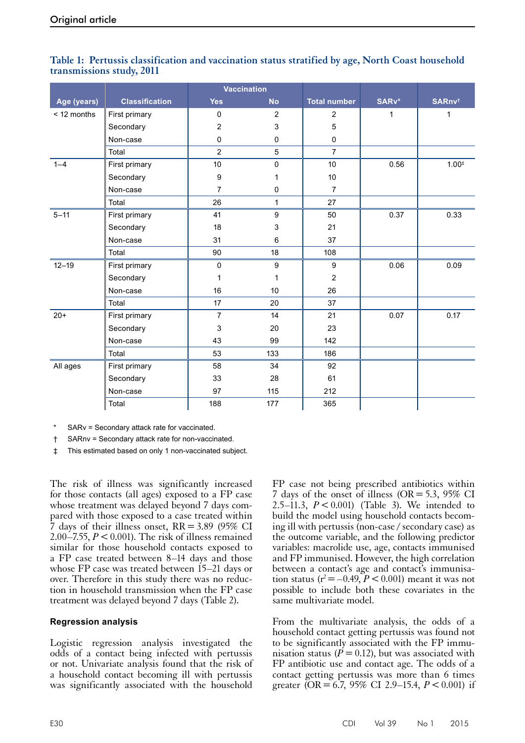|             |                       | <b>Vaccination</b> |                |                     |       |                    |
|-------------|-----------------------|--------------------|----------------|---------------------|-------|--------------------|
| Age (years) | <b>Classification</b> | <b>Yes</b>         | <b>No</b>      | <b>Total number</b> | SARv* | SARnv <sup>t</sup> |
| < 12 months | First primary         | 0                  | $\overline{2}$ | 2                   | 1     | 1                  |
|             | Secondary             | $\overline{c}$     | 3              | 5                   |       |                    |
|             | Non-case              | 0                  | 0              | 0                   |       |                    |
|             | Total                 | $\overline{2}$     | 5              | $\overline{7}$      |       |                    |
| $1 - 4$     | First primary         | 10                 | 0              | 10                  | 0.56  | $1.00*$            |
|             | Secondary             | 9                  | 1              | 10                  |       |                    |
|             | Non-case              | $\overline{7}$     | $\mathbf 0$    | $\overline{7}$      |       |                    |
|             | Total                 | 26                 | 1              | 27                  |       |                    |
| $5 - 11$    | First primary         | 41                 | 9              | 50                  | 0.37  | 0.33               |
|             | Secondary             | 18                 | 3              | 21                  |       |                    |
|             | Non-case              | 31                 | 6              | 37                  |       |                    |
|             | Total                 | 90                 | 18             | 108                 |       |                    |
| $12 - 19$   | First primary         | $\mathbf 0$        | 9              | 9                   | 0.06  | 0.09               |
|             | Secondary             | 1                  | 1              | $\overline{2}$      |       |                    |
|             | Non-case              | 16                 | 10             | 26                  |       |                    |
|             | Total                 | 17                 | 20             | 37                  |       |                    |
| $20+$       | First primary         | $\overline{7}$     | 14             | 21                  | 0.07  | 0.17               |
|             | Secondary             | 3                  | 20             | 23                  |       |                    |
|             | Non-case              | 43                 | 99             | 142                 |       |                    |
|             | Total                 | 53                 | 133            | 186                 |       |                    |
| All ages    | First primary         | 58                 | 34             | 92                  |       |                    |
|             | Secondary             | 33                 | 28             | 61                  |       |                    |
|             | Non-case              | 97                 | 115            | 212                 |       |                    |
|             | Total                 | 188                | 177            | 365                 |       |                    |

# **Table 1: Pertussis classification and vaccination status stratified by age, North Coast household transmissions study, 2011**

SARv = Secondary attack rate for vaccinated.

† SARnv = Secondary attack rate for non-vaccinated.

‡ This estimated based on only 1 non-vaccinated subject.

The risk of illness was significantly increased for those contacts (all ages) exposed to a FP case whose treatment was delayed beyond 7 days compared with those exposed to a case treated within 7 days of their illness onset, RR=3.89 (95% CI 2.00–7.55,  $P < 0.001$ ). The risk of illness remained similar for those household contacts exposed to a FP case treated between 8–14 days and those whose FP case was treated between 15–21 days or over. Therefore in this study there was no reduction in household transmission when the FP case treatment was delayed beyond 7 days (Table 2).

# **Regression analysis**

Logistic regression analysis investigated the odds of a contact being infected with pertussis or not. Univariate analysis found that the risk of a household contact becoming ill with pertussis was significantly associated with the household

FP case not being prescribed antibiotics within 7 days of the onset of illness (OR = 5.3, 95% CI 2.5–11.3, *P*<0.001) (Table 3). We intended to build the model using household contacts becoming ill with pertussis (non-case / secondary case) as the outcome variable, and the following predictor variables: macrolide use, age, contacts immunised and FP immunised. However, the high correlation between a contact's age and contact's immunisation status ( $r^2 = -0.49$ ,  $P < 0.001$ ) meant it was not possible to include both these covariates in the same multivariate model.

From the multivariate analysis, the odds of a household contact getting pertussis was found not to be significantly associated with the FP immunisation status ( $\dot{P}$  = 0.12), but was associated with FP antibiotic use and contact age. The odds of a contact getting pertussis was more than 6 times greater (OR = 6.7, 95% CI 2.9–15.4,  $P < 0.001$ ) if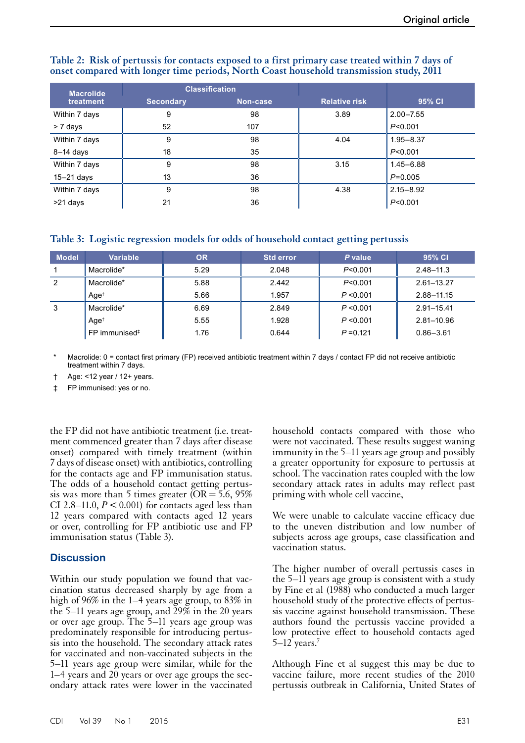| <b>Macrolide</b> |                  | <b>Classification</b> |                      |               |
|------------------|------------------|-----------------------|----------------------|---------------|
| treatment        | <b>Secondary</b> | Non-case              | <b>Relative risk</b> | 95% CI        |
| Within 7 days    | 9                | 98                    | 3.89                 | $2.00 - 7.55$ |
| > 7 days         | 52               | 107                   |                      | P < 0.001     |
| Within 7 days    | 9                | 98                    | 4.04                 | $1.95 - 8.37$ |
| $8-14$ days      | 18               | 35                    |                      | P < 0.001     |
| Within 7 days    | 9                | 98                    | 3.15                 | $1.45 - 6.88$ |
| 15-21 days       | 13               | 36                    |                      | $P=0.005$     |
| Within 7 days    | 9                | 98                    | 4.38                 | $2.15 - 8.92$ |
| >21 days         | 21               | 36                    |                      | P < 0.001     |

#### **Table 2: Risk of pertussis for contacts exposed to a first primary case treated within 7 days of onset compared with longer time periods, North Coast household transmission study, 2011**

**Table 3: Logistic regression models for odds of household contact getting pertussis**

| <b>Model</b> | <b>Variable</b>             | <b>OR</b> | <b>Std error</b> | P value     | 95% CI         |
|--------------|-----------------------------|-----------|------------------|-------------|----------------|
|              | Macrolide*                  | 5.29      | 2.048            | P < 0.001   | $2.48 - 11.3$  |
| 2            | Macrolide*                  | 5.88      | 2.442            | P < 0.001   | $2.61 - 13.27$ |
|              | Age <sup>†</sup>            | 5.66      | 1.957            | P < 0.001   | 2.88-11.15     |
| 3            | Macrolide*                  | 6.69      | 2.849            | P < 0.001   | 2.91-15.41     |
|              | Age <sup>†</sup>            | 5.55      | 1.928            | P < 0.001   | 2.81-10.96     |
|              | $FP$ immunised <sup>‡</sup> | 1.76      | 0.644            | $P = 0.121$ | $0.86 - 3.61$  |

Macrolide:  $0 =$  contact first primary (FP) received antibiotic treatment within 7 days / contact FP did not receive antibiotic treatment within 7 days.

† Age: <12 year / 12+ years.

‡ FP immunised: yes or no.

the FP did not have antibiotic treatment (i.e. treat- ment commenced greater than 7 days after disease onset) compared with timely treatment (within 7 days of disease onset) with antibiotics, controlling for the contacts age and FP immunisation status. The odds of a household contact getting pertus-<br>sis was more than 5 times greater ( $OR = 5.6$ , 95%) CI 2.8–11.0,  $P < 0.001$ ) for contacts aged less than 12 years compared with contacts aged 12 years or over, controlling for FP antibiotic use and FP immunisation status (Table 3).

# **Discussion**

Within our study population we found that vaccination status decreased sharply by age from a high of 96% in the 1–4 years age group, to 83% in the 5–11 years age group, and  $\tilde{29\%}$  in the 20 years or over age group. The 5–11 years age group was predominately responsible for introducing pertussis into the household. The secondary attack rates for vaccinated and non-vaccinated subjects in the 5–11 years age group were similar, while for the  $1-4$  years and  $20$  years or over age groups the secondary attack rates were lower in the vaccinated household contacts compared with those who were not vaccinated. These results suggest waning immunity in the 5–11 years age group and possibly a greater opportunity for exposure to pertussis at school. The vaccination rates coupled with the low secondary attack rates in adults may reflect past priming with whole cell vaccine,

We were unable to calculate vaccine efficacy due to the uneven distribution and low number of subjects across age groups, case classification and vaccination status.

The higher number of overall pertussis cases in the 5–11 years age group is consistent with a study by Fine et al (1988) who conducted a much larger household study of the protective effects of pertus-<br>sis vaccine against household transmission. These authors found the pertussis vaccine provided a low protective effect to household contacts aged  $5-12$  years.<sup>7</sup>

Although Fine et al suggest this may be due to vaccine failure, more recent studies of the 2010 pertussis outbreak in California, United States of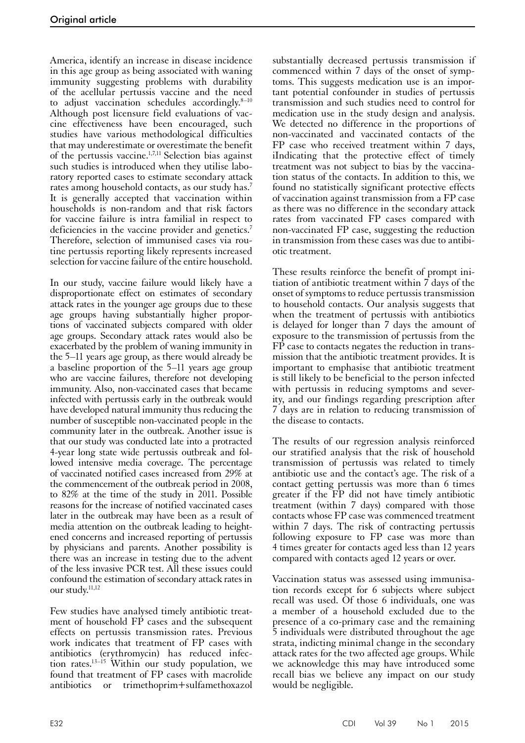America, identify an increase in disease incidence in this age group as being associated with waning immunity suggesting problems with durability of the acellular pertussis vaccine and the need to adjust vaccination schedules accordingly.<sup>8-10</sup> Although post licensure field evaluations of vaccine effectiveness have been encouraged, such studies have various methodological difficulties that may underestimate or overestimate the benefit of the pertussis vaccine.<sup>1,7,11</sup> Selection bias against such studies is introduced when they utilise laboratory reported cases to estimate secondary attack rates among household contacts, as our study has.7 It is generally accepted that vaccination within households is non-random and that risk factors for vaccine failure is intra familial in respect to deficiencies in the vaccine provider and genetics.<sup>7</sup> Therefore, selection of immunised cases via routine pertussis reporting likely represents increased selection for vaccine failure of the entire household.

In our study, vaccine failure would likely have a disproportionate effect on estimates of secondary attack rates in the younger age groups due to these age groups having substantially higher proportions of vaccinated subjects compared with older age groups. Secondary attack rates would also be exacerbated by the problem of waning immunity in the 5–11 years age group, as there would already be a baseline proportion of the 5–11 years age group who are vaccine failures, therefore not developing immunity. Also, non-vaccinated cases that became infected with pertussis early in the outbreak would have developed natural immunity thus reducing the number of susceptible non-vaccinated people in the community later in the outbreak. Another issue is that our study was conducted late into a protracted 4-year long state wide pertussis outbreak and fol- lowed intensive media coverage. The percentage of vaccinated notified cases increased from 29% at the commencement of the outbreak period in 2008, to 82% at the time of the study in 2011. Possible reasons for the increase of notified vaccinated cases later in the outbreak may have been as a result of media attention on the outbreak leading to heightened concerns and increased reporting of pertussis by physicians and parents. Another possibility is there was an increase in testing due to the advent of the less invasive PCR test. All these issues could confound the estimation of secondary attack rates in our study.<sup>11,12</sup>

Few studies have analysed timely antibiotic treat- ment of household FP cases and the subsequent effects on pertussis transmission rates. Previous work indicates that treatment of FP cases with antibiotics (erythromycin) has reduced infection rates.13–15 Within our study population, we found that treatment of FP cases with macrolide antibiotics or trimethoprim+sulfamethoxazol substantially decreased pertussis transmission if commenced within 7 days of the onset of symptoms. This suggests medication use is an important potential confounder in studies of pertussis transmission and such studies need to control for medication use in the study design and analysis. We detected no difference in the proportions of non-vaccinated and vaccinated contacts of the FP case who received treatment within 7 days, iIndicating that the protective effect of timely treatment was not subject to bias by the vaccination status of the contacts. In addition to this, we found no statistically significant protective effects of vaccination against transmission from a FP case as there was no difference in the secondary attack rates from vaccinated FP cases compared with non-vaccinated FP case, suggesting the reduction in transmission from these cases was due to antibiotic treatment.

These results reinforce the benefit of prompt initiation of antibiotic treatment within 7 days of the onset of symptoms to reduce pertussis transmission to household contacts. Our analysis suggests that when the treatment of pertussis with antibiotics is delayed for longer than 7 days the amount of exposure to the transmission of pertussis from the FP case to contacts negates the reduction in transmission that the antibiotic treatment provides. It is important to emphasise that antibiotic treatment is still likely to be beneficial to the person infected with pertussis in reducing symptoms and severity, and our findings regarding prescription after 7 days are in relation to reducing transmission of the disease to contacts.

The results of our regression analysis reinforced our stratified analysis that the risk of household transmission of pertussis was related to timely antibiotic use and the contact's age. The risk of a contact getting pertussis was more than 6 times greater if the FP did not have timely antibiotic treatment (within 7 days) compared with those contacts whose FP case was commenced treatment within 7 days. The risk of contracting pertussis following exposure to FP case was more than 4 times greater for contacts aged less than 12 years compared with contacts aged 12 years or over.

Vaccination status was assessed using immunisation records except for 6 subjects where subject recall was used. Of those 6 individuals, one was a member of a household excluded due to the presence of a co-primary case and the remaining 5 individuals were distributed throughout the age strata, indicting minimal change in the secondary attack rates for the two affected age groups. While we acknowledge this may have introduced some recall bias we believe any impact on our study would be negligible.